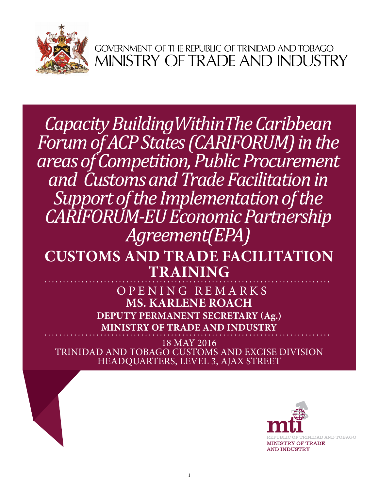

GOVERNMENT OF THE REPUBLIC OF TRINIDAD AND TOBAGO<br>MINISTRY OF TRADE AND INDUSTRY

*Capacity BuildingWithinThe Caribbean Forum of ACP States (CARIFORUM) in the areas of Competition, Public Procurement and Customs and Trade Facilitation in Support of the Implementation of the CARIFORUM-EU Economic Partnership Agreement(EPA)*

## **CUSTOMS AND TRADE FACILITATION TRAINING**

**Ms. Karlene Roach Deputy permanent Secretary (Ag.) Ministry of Trade and Industry** Opening Rema r k s

18 May 2016 TRINIDAD AND TOBAGO CUSTOMS AND EXCISE DIVISION HEADQUARTERS, Level 3, AJAX STREET

1